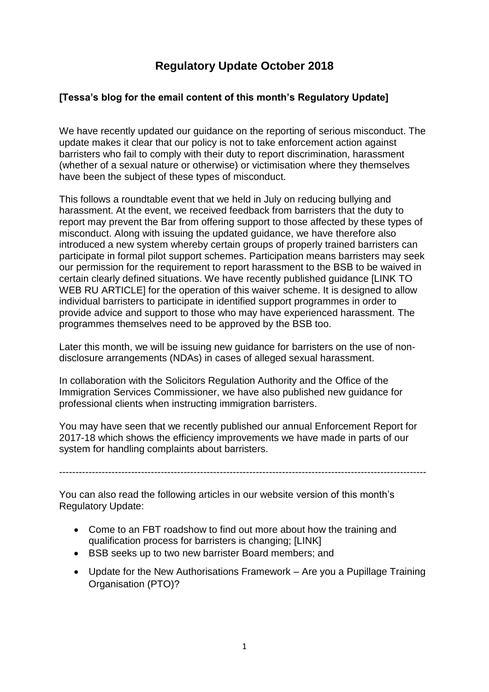# **Regulatory Update October 2018**

## **[Tessa's blog for the email content of this month's Regulatory Update]**

We have recently updated our guidance on the reporting of serious misconduct. The update makes it clear that our policy is not to take enforcement action against barristers who fail to comply with their duty to report discrimination, harassment (whether of a sexual nature or otherwise) or victimisation where they themselves have been the subject of these types of misconduct.

This follows a roundtable event that we held in July on reducing bullying and harassment. At the event, we received feedback from barristers that the duty to report may prevent the Bar from offering support to those affected by these types of misconduct. Along with issuing the updated guidance, we have therefore also introduced a new system whereby certain groups of properly trained barristers can participate in formal pilot support schemes. Participation means barristers may seek our permission for the requirement to report harassment to the BSB to be waived in certain clearly defined situations. We have recently published guidance [LINK TO WEB RU ARTICLEI for the operation of this waiver scheme. It is designed to allow individual barristers to participate in identified support programmes in order to provide advice and support to those who may have experienced harassment. The programmes themselves need to be approved by the BSB too.

Later this month, we will be issuing new guidance for barristers on the use of nondisclosure arrangements (NDAs) in cases of alleged sexual harassment.

In collaboration with the Solicitors Regulation Authority and the Office of the Immigration Services Commissioner, we have also published new guidance for professional clients when instructing immigration barristers.

You may have seen that we recently published our annual Enforcement Report for 2017-18 which shows the efficiency improvements we have made in parts of our system for handling complaints about barristers.

----------------------------------------------------------------------------------------------------------------

You can also read the following articles in our website version of this month's Regulatory Update:

- Come to an FBT roadshow to find out more about how the training and qualification process for barristers is changing; [LINK]
- BSB seeks up to two new barrister Board members; and
- Update for the New Authorisations Framework Are you a Pupillage Training Organisation (PTO)?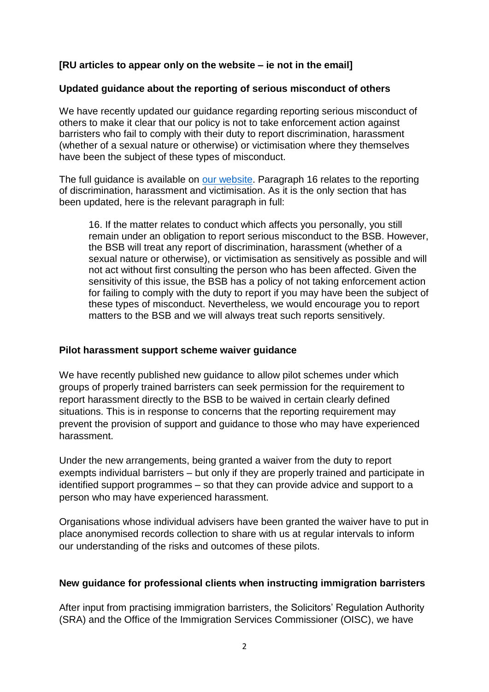## **[RU articles to appear only on the website – ie not in the email]**

#### **Updated guidance about the reporting of serious misconduct of others**

We have recently updated our guidance regarding reporting serious misconduct of others to make it clear that our policy is not to take enforcement action against barristers who fail to comply with their duty to report discrimination, harassment (whether of a sexual nature or otherwise) or victimisation where they themselves have been the subject of these types of misconduct.

The full guidance is available on [our website.](https://www.barstandardsboard.org.uk/media/1666565/reporting_serious_misconduct_of_others__september_2018_.pdf) Paragraph 16 relates to the reporting of discrimination, harassment and victimisation. As it is the only section that has been updated, here is the relevant paragraph in full:

16. If the matter relates to conduct which affects you personally, you still remain under an obligation to report serious misconduct to the BSB. However, the BSB will treat any report of discrimination, harassment (whether of a sexual nature or otherwise), or victimisation as sensitively as possible and will not act without first consulting the person who has been affected. Given the sensitivity of this issue, the BSB has a policy of not taking enforcement action for failing to comply with the duty to report if you may have been the subject of these types of misconduct. Nevertheless, we would encourage you to report matters to the BSB and we will always treat such reports sensitively.

#### **Pilot harassment support scheme waiver guidance**

We have recently published new quidance to allow pilot schemes under which groups of properly trained barristers can seek permission for the requirement to report harassment directly to the BSB to be waived in certain clearly defined situations. This is in response to concerns that the reporting requirement may prevent the provision of support and guidance to those who may have experienced harassment.

Under the new arrangements, being granted a waiver from the duty to report exempts individual barristers – but only if they are properly trained and participate in identified support programmes – so that they can provide advice and support to a person who may have experienced harassment.

Organisations whose individual advisers have been granted the waiver have to put in place anonymised records collection to share with us at regular intervals to inform our understanding of the risks and outcomes of these pilots.

## **New guidance for professional clients when instructing immigration barristers**

After input from practising immigration barristers, the Solicitors' Regulation Authority (SRA) and the Office of the Immigration Services Commissioner (OISC), we have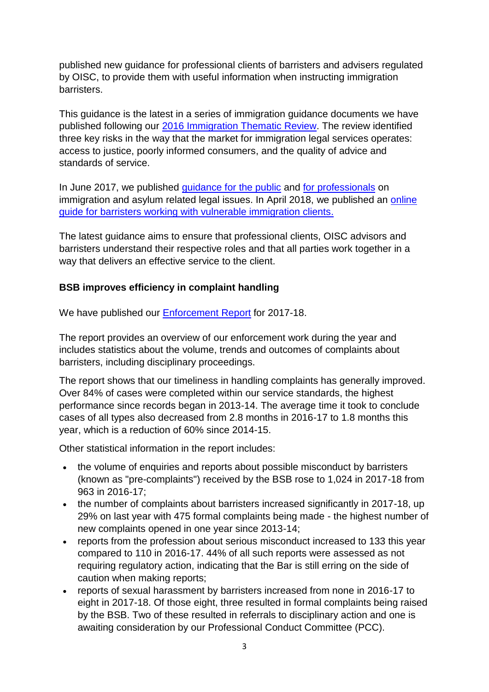published new guidance for professional clients of barristers and advisers regulated by OISC, to provide them with useful information when instructing immigration barristers.

This guidance is the latest in a series of immigration guidance documents we have published following our [2016 Immigration Thematic Review.](https://www.barstandardsboard.org.uk/media-centre/press-releases-and-news/bsb-conducts-thematic-review-on-immigration-services,-adopts-recommendations/) The review identified three key risks in the way that the market for immigration legal services operates: access to justice, poorly informed consumers, and the quality of advice and standards of service.

In June 2017, we published [guidance for the public](https://www.barstandardsboard.org.uk/media/1837125/need_help_with_your_immigration_and_asylum_issues_-_for_web.pdf) and [for professionals](https://www.barstandardsboard.org.uk/media/1837121/immigration_guidance_for_professionals_report_-_for_web.pdf) on immigration and asylum related legal issues. In April 2018, we published an online [guide for barristers working with vulnerable immigration clients.](https://www.barstandardsboard.org.uk/42581.aspx)

The latest guidance aims to ensure that professional clients, OISC advisors and barristers understand their respective roles and that all parties work together in a way that delivers an effective service to the client.

## **BSB improves efficiency in complaint handling**

We have published our [Enforcement](https://www.barstandardsboard.org.uk/media/1955260/annual_enforcement_report_2017-18_-_final.pdf) Report for 2017-18.

The report provides an overview of our enforcement work during the year and includes statistics about the volume, trends and outcomes of complaints about barristers, including disciplinary proceedings.

The report shows that our timeliness in handling complaints has generally improved. Over 84% of cases were completed within our service standards, the highest performance since records began in 2013-14. The average time it took to conclude cases of all types also decreased from 2.8 months in 2016-17 to 1.8 months this year, which is a reduction of 60% since 2014-15.

Other statistical information in the report includes:

- the volume of enquiries and reports about possible misconduct by barristers (known as "pre-complaints") received by the BSB rose to 1,024 in 2017-18 from 963 in 2016-17;
- the number of complaints about barristers increased significantly in 2017-18, up 29% on last year with 475 formal complaints being made - the highest number of new complaints opened in one year since 2013-14;
- reports from the profession about serious misconduct increased to 133 this year compared to 110 in 2016-17. 44% of all such reports were assessed as not requiring regulatory action, indicating that the Bar is still erring on the side of caution when making reports;
- reports of sexual harassment by barristers increased from none in 2016-17 to eight in 2017-18. Of those eight, three resulted in formal complaints being raised by the BSB. Two of these resulted in referrals to disciplinary action and one is awaiting consideration by our Professional Conduct Committee (PCC).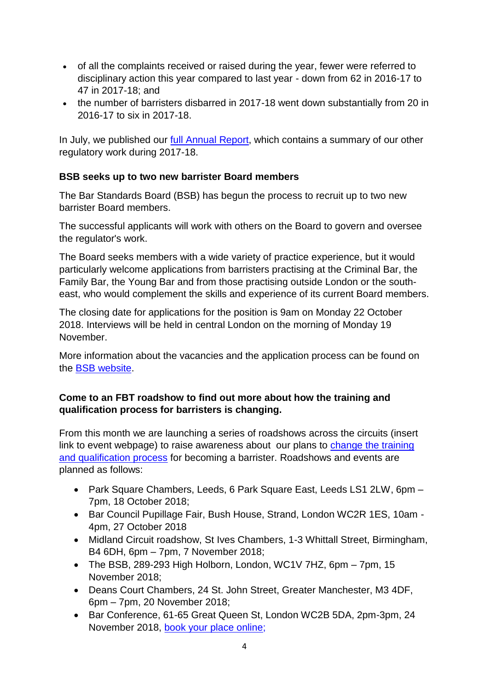- of all the complaints received or raised during the year, fewer were referred to disciplinary action this year compared to last year - down from 62 in 2016-17 to 47 in 2017-18; and
- the number of barristers disbarred in 2017-18 went down substantially from 20 in 2016-17 to six in 2017-18.

In July, we published our full Annual [Report,](https://www.barstandardsboard.org.uk/media/1945100/bsb_annual_report_2017-18.pdf) which contains a summary of our other regulatory work during 2017-18.

## **BSB seeks up to two new barrister Board members**

The Bar Standards Board (BSB) has begun the process to recruit up to two new barrister Board members.

The successful applicants will work with others on the Board to govern and oversee the regulator's work.

The Board seeks members with a wide variety of practice experience, but it would particularly welcome applications from barristers practising at the Criminal Bar, the Family Bar, the Young Bar and from those practising outside London or the southeast, who would complement the skills and experience of its current Board members.

The closing date for applications for the position is 9am on Monday 22 October 2018. Interviews will be held in central London on the morning of Monday 19 November.

More information about the vacancies and the application process can be found on the BSB [website.](https://www.barstandardsboard.org.uk/media/1954156/candidate_pack.pdf)

#### **Come to an FBT roadshow to find out more about how the training and qualification process for barristers is changing.**

From this month we are launching a series of roadshows across the circuits (insert link to event webpage) to raise awareness about our plans to [change the training](https://www.barstandardsboard.org.uk/qualifying-as-a-barrister/future-requirements/future-bar-training/future-ways-to-qualify-as-a-barrister/)  [and qualification process](https://www.barstandardsboard.org.uk/qualifying-as-a-barrister/future-requirements/future-bar-training/future-ways-to-qualify-as-a-barrister/) for becoming a barrister. Roadshows and events are planned as follows:

- Park Square Chambers, Leeds, 6 Park Square East, Leeds LS1 2LW, 6pm 7pm, 18 October 2018;
- Bar Council Pupillage Fair, Bush House, Strand, London WC2R 1ES, 10am 4pm, 27 October 2018
- Midland Circuit roadshow, St Ives Chambers, 1-3 Whittall Street, Birmingham, B4 6DH, 6pm – 7pm, 7 November 2018;
- The BSB, 289-293 High Holborn, London, WC1V 7HZ, 6pm 7pm, 15 November 2018;
- Deans Court Chambers, 24 St. John Street, Greater Manchester, M3 4DF, 6pm – 7pm, 20 November 2018;
- Bar Conference, 61-65 Great Queen St, London WC2B 5DA, 2pm-3pm, 24 November 2018, [book your place online;](https://www.barcouncil.org.uk/supporting-the-bar/conferences,-training-and-other-events/2018/november/annual-and-young-bar-conference-2018/)